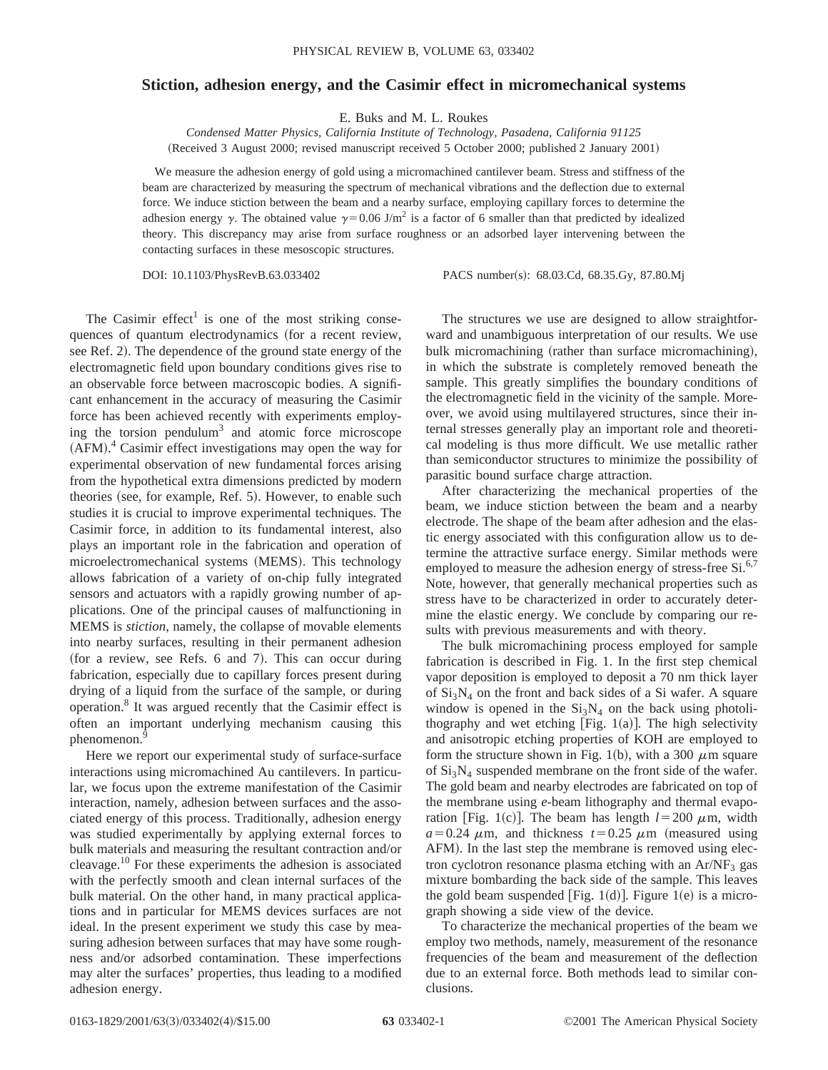## **Stiction, adhesion energy, and the Casimir effect in micromechanical systems**

E. Buks and M. L. Roukes

*Condensed Matter Physics, California Institute of Technology, Pasadena, California 91125* (Received 3 August 2000; revised manuscript received 5 October 2000; published 2 January 2001)

We measure the adhesion energy of gold using a micromachined cantilever beam. Stress and stiffness of the beam are characterized by measuring the spectrum of mechanical vibrations and the deflection due to external force. We induce stiction between the beam and a nearby surface, employing capillary forces to determine the adhesion energy  $\gamma$ . The obtained value  $\gamma=0.06$  J/m<sup>2</sup> is a factor of 6 smaller than that predicted by idealized theory. This discrepancy may arise from surface roughness or an adsorbed layer intervening between the contacting surfaces in these mesoscopic structures.

DOI: 10.1103/PhysRevB.63.033402 PACS number(s): 68.03.Cd, 68.35.Gy, 87.80.Mj

The Casimir effect<sup>1</sup> is one of the most striking consequences of quantum electrodynamics (for a recent review, see Ref. 2). The dependence of the ground state energy of the electromagnetic field upon boundary conditions gives rise to an observable force between macroscopic bodies. A significant enhancement in the accuracy of measuring the Casimir force has been achieved recently with experiments employing the torsion pendulum<sup>3</sup> and atomic force microscope (AFM).<sup>4</sup> Casimir effect investigations may open the way for experimental observation of new fundamental forces arising from the hypothetical extra dimensions predicted by modern theories (see, for example, Ref. 5). However, to enable such studies it is crucial to improve experimental techniques. The Casimir force, in addition to its fundamental interest, also plays an important role in the fabrication and operation of microelectromechanical systems (MEMS). This technology allows fabrication of a variety of on-chip fully integrated sensors and actuators with a rapidly growing number of applications. One of the principal causes of malfunctioning in MEMS is *stiction*, namely, the collapse of movable elements into nearby surfaces, resulting in their permanent adhesion (for a review, see Refs. 6 and 7). This can occur during fabrication, especially due to capillary forces present during drying of a liquid from the surface of the sample, or during operation.8 It was argued recently that the Casimir effect is often an important underlying mechanism causing this phenomenon.<sup>9</sup>

Here we report our experimental study of surface-surface interactions using micromachined Au cantilevers. In particular, we focus upon the extreme manifestation of the Casimir interaction, namely, adhesion between surfaces and the associated energy of this process. Traditionally, adhesion energy was studied experimentally by applying external forces to bulk materials and measuring the resultant contraction and/or cleavage.10 For these experiments the adhesion is associated with the perfectly smooth and clean internal surfaces of the bulk material. On the other hand, in many practical applications and in particular for MEMS devices surfaces are not ideal. In the present experiment we study this case by measuring adhesion between surfaces that may have some roughness and/or adsorbed contamination. These imperfections may alter the surfaces' properties, thus leading to a modified adhesion energy.

The structures we use are designed to allow straightforward and unambiguous interpretation of our results. We use bulk micromachining (rather than surface micromachining), in which the substrate is completely removed beneath the sample. This greatly simplifies the boundary conditions of the electromagnetic field in the vicinity of the sample. Moreover, we avoid using multilayered structures, since their internal stresses generally play an important role and theoretical modeling is thus more difficult. We use metallic rather than semiconductor structures to minimize the possibility of parasitic bound surface charge attraction.

After characterizing the mechanical properties of the beam, we induce stiction between the beam and a nearby electrode. The shape of the beam after adhesion and the elastic energy associated with this configuration allow us to determine the attractive surface energy. Similar methods were employed to measure the adhesion energy of stress-free  $Si^{6,7}$ . Note, however, that generally mechanical properties such as stress have to be characterized in order to accurately determine the elastic energy. We conclude by comparing our results with previous measurements and with theory.

The bulk micromachining process employed for sample fabrication is described in Fig. 1. In the first step chemical vapor deposition is employed to deposit a 70 nm thick layer of  $Si<sub>3</sub>N<sub>4</sub>$  on the front and back sides of a Si wafer. A square window is opened in the  $Si<sub>3</sub>N<sub>4</sub>$  on the back using photolithography and wet etching [Fig.  $1(a)$ ]. The high selectivity and anisotropic etching properties of KOH are employed to form the structure shown in Fig. 1(b), with a 300  $\mu$ m square of  $Si<sub>3</sub>N<sub>4</sub>$  suspended membrane on the front side of the wafer. The gold beam and nearby electrodes are fabricated on top of the membrane using *e*-beam lithography and thermal evaporation [Fig. 1(c)]. The beam has length  $l = 200 \mu$ m, width  $a=0.24 \mu$ m, and thickness  $t=0.25 \mu$ m (measured using AFM). In the last step the membrane is removed using electron cyclotron resonance plasma etching with an  $Ar/NF<sub>3</sub>$  gas mixture bombarding the back side of the sample. This leaves the gold beam suspended [Fig. 1(d)]. Figure 1(e) is a micrograph showing a side view of the device.

To characterize the mechanical properties of the beam we employ two methods, namely, measurement of the resonance frequencies of the beam and measurement of the deflection due to an external force. Both methods lead to similar conclusions.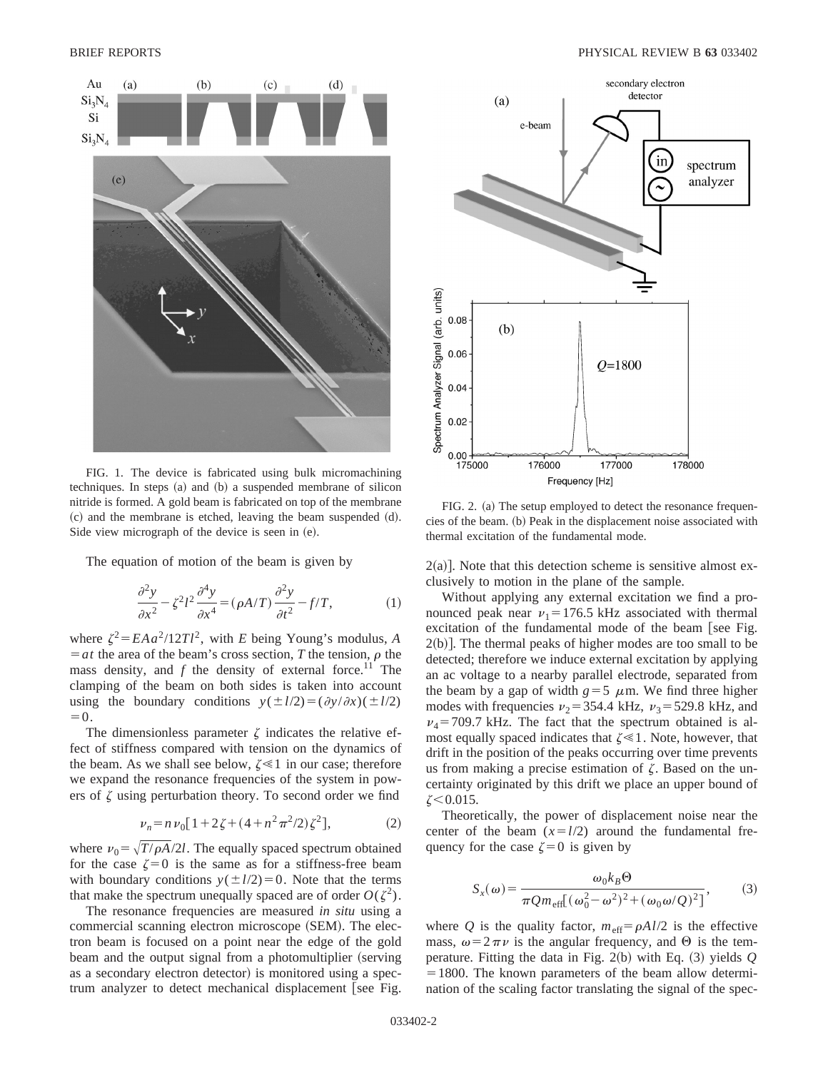

FIG. 1. The device is fabricated using bulk micromachining techniques. In steps  $(a)$  and  $(b)$  a suspended membrane of silicon nitride is formed. A gold beam is fabricated on top of the membrane  $\alpha$  and the membrane is etched, leaving the beam suspended  $\alpha$ . Side view micrograph of the device is seen in  $(e)$ .

The equation of motion of the beam is given by

$$
\frac{\partial^2 y}{\partial x^2} - \zeta^2 l^2 \frac{\partial^4 y}{\partial x^4} = (\rho A/T) \frac{\partial^2 y}{\partial t^2} - f/T,\tag{1}
$$

where  $\zeta^2 = E A a^2 / 12 T l^2$ , with *E* being Young's modulus, *A*  $=$ *at* the area of the beam's cross section, *T* the tension,  $\rho$  the mass density, and  $f$  the density of external force.<sup>11</sup> The clamping of the beam on both sides is taken into account using the boundary conditions  $y(\pm l/2) = (\partial y/\partial x)(\pm l/2)$  $=0.$ 

The dimensionless parameter  $\zeta$  indicates the relative effect of stiffness compared with tension on the dynamics of the beam. As we shall see below,  $\zeta \ll 1$  in our case; therefore we expand the resonance frequencies of the system in powers of  $\zeta$  using perturbation theory. To second order we find

$$
\nu_n = n \nu_0 [1 + 2\zeta + (4 + n^2 \pi^2 / 2) \zeta^2],\tag{2}
$$

where  $v_0 = \sqrt{T/\rho A}/2l$ . The equally spaced spectrum obtained for the case  $\zeta=0$  is the same as for a stiffness-free beam with boundary conditions  $y(\pm l/2)=0$ . Note that the terms that make the spectrum unequally spaced are of order  $O(\zeta^2)$ .

The resonance frequencies are measured *in situ* using a commercial scanning electron microscope (SEM). The electron beam is focused on a point near the edge of the gold beam and the output signal from a photomultiplier (serving as a secondary electron detector) is monitored using a spectrum analyzer to detect mechanical displacement [see Fig.



FIG. 2. (a) The setup employed to detect the resonance frequencies of the beam. (b) Peak in the displacement noise associated with thermal excitation of the fundamental mode.

 $2(a)$ ]. Note that this detection scheme is sensitive almost exclusively to motion in the plane of the sample.

Without applying any external excitation we find a pronounced peak near  $v_1$  = 176.5 kHz associated with thermal excitation of the fundamental mode of the beam [see Fig.  $2(b)$ ]. The thermal peaks of higher modes are too small to be detected; therefore we induce external excitation by applying an ac voltage to a nearby parallel electrode, separated from the beam by a gap of width  $g=5 \mu m$ . We find three higher modes with frequencies  $v_2$  = 354.4 kHz,  $v_3$  = 529.8 kHz, and  $v_4$ =709.7 kHz. The fact that the spectrum obtained is almost equally spaced indicates that  $\zeta \ll 1$ . Note, however, that drift in the position of the peaks occurring over time prevents us from making a precise estimation of  $\zeta$ . Based on the uncertainty originated by this drift we place an upper bound of  $\zeta$  < 0.015.

Theoretically, the power of displacement noise near the center of the beam  $(x=1/2)$  around the fundamental frequency for the case  $\zeta=0$  is given by

$$
S_x(\omega) = \frac{\omega_0 k_B \Theta}{\pi Q m_{\text{eff}} [(\omega_0^2 - \omega^2)^2 + (\omega_0 \omega/Q)^2]},
$$
 (3)

where *Q* is the quality factor,  $m_{\text{eff}} = \rho A l/2$  is the effective mass,  $\omega = 2\pi \nu$  is the angular frequency, and  $\Theta$  is the temperature. Fitting the data in Fig.  $2(b)$  with Eq.  $(3)$  yields  $Q$  $=1800$ . The known parameters of the beam allow determination of the scaling factor translating the signal of the spec-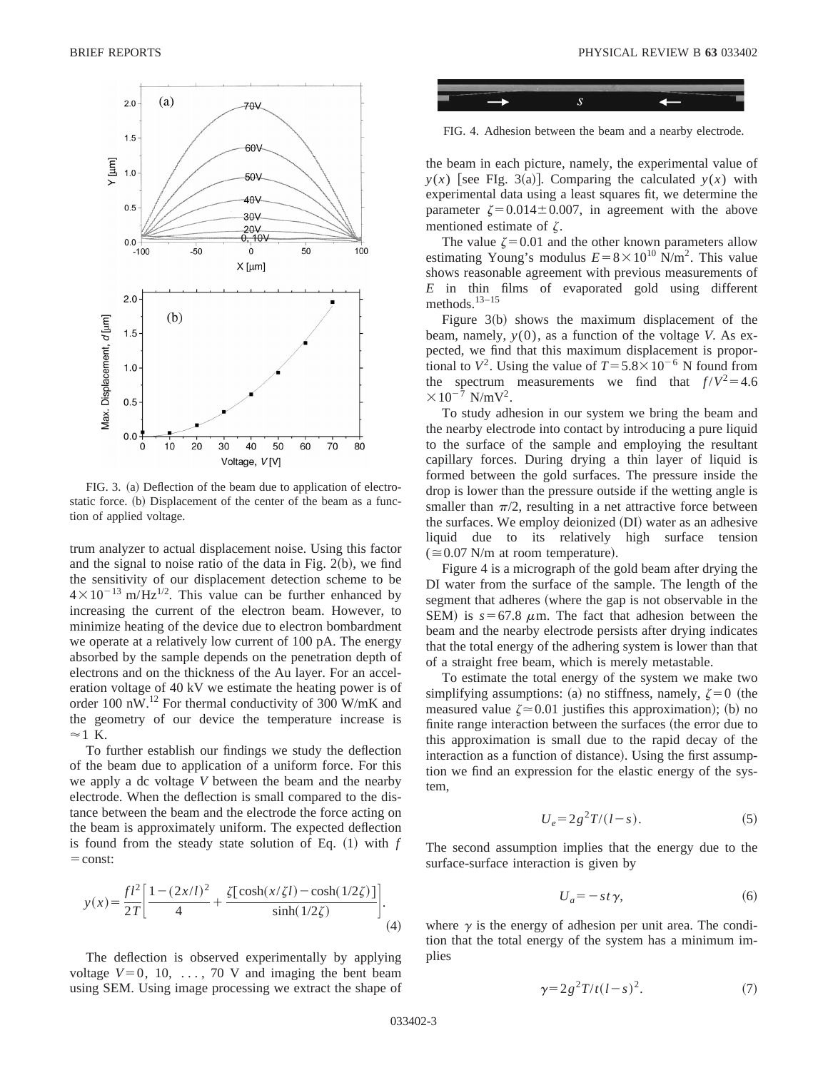

FIG. 3. (a) Deflection of the beam due to application of electrostatic force. (b) Displacement of the center of the beam as a function of applied voltage.

trum analyzer to actual displacement noise. Using this factor and the signal to noise ratio of the data in Fig.  $2(b)$ , we find the sensitivity of our displacement detection scheme to be  $4\times10^{-13}$  m/Hz<sup>1/2</sup>. This value can be further enhanced by increasing the current of the electron beam. However, to minimize heating of the device due to electron bombardment we operate at a relatively low current of 100 pA. The energy absorbed by the sample depends on the penetration depth of electrons and on the thickness of the Au layer. For an acceleration voltage of 40 kV we estimate the heating power is of order 100 nW. $^{12}$  For thermal conductivity of 300 W/mK and the geometry of our device the temperature increase is  $\approx$  1 K.

To further establish our findings we study the deflection of the beam due to application of a uniform force. For this we apply a dc voltage *V* between the beam and the nearby electrode. When the deflection is small compared to the distance between the beam and the electrode the force acting on the beam is approximately uniform. The expected deflection is found from the steady state solution of Eq.  $(1)$  with  $f$  $=$ const:

$$
y(x) = \frac{fl^2}{2T} \left[ \frac{1 - (2x/l)^2}{4} + \frac{\zeta[\cosh(x/\zeta l) - \cosh(1/2\zeta)]}{\sinh(1/2\zeta)} \right].
$$
\n(4)

The deflection is observed experimentally by applying voltage  $V=0$ , 10, ..., 70 V and imaging the bent beam using SEM. Using image processing we extract the shape of



FIG. 4. Adhesion between the beam and a nearby electrode.

the beam in each picture, namely, the experimental value of  $y(x)$  [see FIg. 3(a)]. Comparing the calculated  $y(x)$  with experimental data using a least squares fit, we determine the parameter  $\zeta = 0.014 \pm 0.007$ , in agreement with the above mentioned estimate of  $\zeta$ .

The value  $\zeta$ =0.01 and the other known parameters allow estimating Young's modulus  $E=8\times10^{10}$  N/m<sup>2</sup>. This value shows reasonable agreement with previous measurements of *E* in thin films of evaporated gold using different methods.13–15

Figure  $3(b)$  shows the maximum displacement of the beam, namely, *y*(0), as a function of the voltage *V*. As expected, we find that this maximum displacement is proportional to  $V^2$ . Using the value of  $T = 5.8 \times 10^{-6}$  N found from the spectrum measurements we find that  $f/V^2 = 4.6$  $\times 10^{-7}$  N/mV<sup>2</sup>.

To study adhesion in our system we bring the beam and the nearby electrode into contact by introducing a pure liquid to the surface of the sample and employing the resultant capillary forces. During drying a thin layer of liquid is formed between the gold surfaces. The pressure inside the drop is lower than the pressure outside if the wetting angle is smaller than  $\pi/2$ , resulting in a net attractive force between the surfaces. We employ deionized (DI) water as an adhesive liquid due to its relatively high surface tension  $(0.07$  N/m at room temperature).

Figure 4 is a micrograph of the gold beam after drying the DI water from the surface of the sample. The length of the segment that adheres (where the gap is not observable in the SEM) is  $s=67.8 \mu m$ . The fact that adhesion between the beam and the nearby electrode persists after drying indicates that the total energy of the adhering system is lower than that of a straight free beam, which is merely metastable.

To estimate the total energy of the system we make two simplifying assumptions: (a) no stiffness, namely,  $\zeta = 0$  (the measured value  $\zeta \approx 0.01$  justifies this approximation); (b) no finite range interaction between the surfaces (the error due to this approximation is small due to the rapid decay of the interaction as a function of distance). Using the first assumption we find an expression for the elastic energy of the system,

$$
U_e = 2g^2 T/(l - s). \tag{5}
$$

The second assumption implies that the energy due to the surface-surface interaction is given by

$$
U_a = -st\,\gamma,\tag{6}
$$

where  $\gamma$  is the energy of adhesion per unit area. The condition that the total energy of the system has a minimum implies

$$
\gamma = 2g^2 T/t (l-s)^2. \tag{7}
$$